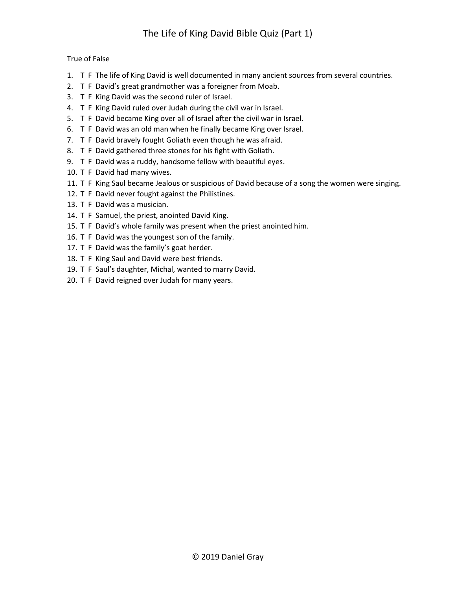## True of False

- 1. T F The life of King David is well documented in many ancient sources from several countries.
- 2. T F David's great grandmother was a foreigner from Moab.
- 3. T F King David was the second ruler of Israel.
- 4. T F King David ruled over Judah during the civil war in Israel.
- 5. T F David became King over all of Israel after the civil war in Israel.
- 6. T F David was an old man when he finally became King over Israel.
- 7. T F David bravely fought Goliath even though he was afraid.
- 8. T F David gathered three stones for his fight with Goliath.
- 9. T F David was a ruddy, handsome fellow with beautiful eyes.
- 10. T F David had many wives.
- 11. T F King Saul became Jealous or suspicious of David because of a song the women were singing.
- 12. T F David never fought against the Philistines.
- 13. T F David was a musician.
- 14. T F Samuel, the priest, anointed David King.
- 15. T F David's whole family was present when the priest anointed him.
- 16. T F David was the youngest son of the family.
- 17. T F David was the family's goat herder.
- 18. T F King Saul and David were best friends.
- 19. T F Saul's daughter, Michal, wanted to marry David.
- 20. T F David reigned over Judah for many years.